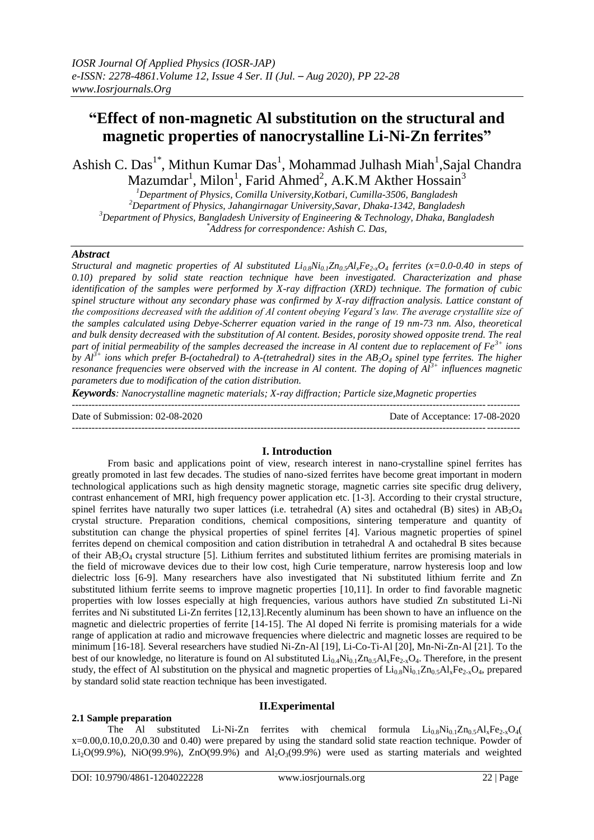# **"Effect of non-magnetic Al substitution on the structural and magnetic properties of nanocrystalline Li-Ni-Zn ferrites"**

Ashish C. Das<sup>1\*</sup>, Mithun Kumar Das<sup>1</sup>, Mohammad Julhash Miah<sup>1</sup>, Sajal Chandra Mazumdar<sup>1</sup>, Milon<sup>1</sup>, Farid Ahmed<sup>2</sup>, A.K.M Akther Hossain<sup>3</sup>

*Department of Physics, Comilla University,Kotbari, Cumilla-3506, Bangladesh Department of Physics, Jahangirnagar University,Savar, Dhaka-1342, Bangladesh Department of Physics, Bangladesh University of Engineering & Technology, Dhaka, Bangladesh \*Address for correspondence: Ashish C. Das,* 

#### *Abstract*

*Structural and magnetic properties of Al substituted Li0.8Ni0.1Zn0.5AlxFe2-xO<sup>4</sup> ferrites (x=0.0-0.40 in steps of 0.10) prepared by solid state reaction technique have been investigated. Characterization and phase identification of the samples were performed by X-ray diffraction (XRD) technique. The formation of cubic spinel structure without any secondary phase was confirmed by X-ray diffraction analysis. Lattice constant of the compositions decreased with the addition of Al content obeying Vegard's law. The average crystallite size of the samples calculated using Debye-Scherrer equation varied in the range of 19 nm-73 nm. Also, theoretical and bulk density decreased with the substitution of Al content. Besides, porosity showed opposite trend. The real part of initial permeability of the samples decreased the increase in Al content due to replacement of Fe3+ ions by Al*<sup>3+</sup> *ions which prefer B-(octahedral) to A-(tetrahedral) sites in the AB<sub>2</sub>O<sub>4</sub> spinel type ferrites. The higher resonance frequencies were observed with the increase in Al content. The doping of Al3+ influences magnetic parameters due to modification of the cation distribution.*

*Keywords: Nanocrystalline magnetic materials; X-ray diffraction; Particle size,Magnetic properties*

 $-1\leq i\leq n-1$ Date of Submission: 02-08-2020 Date of Acceptance: 17-08-2020  $-1\leq i\leq n-1$ 

#### **I. Introduction**

From basic and applications point of view, research interest in nano-crystalline spinel ferrites has greatly promoted in last few decades. The studies of nano-sized ferrites have become great important in modern technological applications such as high density magnetic storage, magnetic carries site specific drug delivery, contrast enhancement of MRI, high frequency power application etc. [1-3]. According to their crystal structure, spinel ferrites have naturally two super lattices (i.e. tetrahedral (A) sites and octahedral (B) sites) in  $AB_2O_4$ crystal structure. Preparation conditions, chemical compositions, sintering temperature and quantity of substitution can change the physical properties of spinel ferrites [4]. Various magnetic properties of spinel ferrites depend on chemical composition and cation distribution in tetrahedral A and octahedral B sites because of their  $AB_2O_4$  crystal structure [5]. Lithium ferrites and substituted lithium ferrites are promising materials in the field of microwave devices due to their low cost, high Curie temperature, narrow hysteresis loop and low dielectric loss [6-9]. Many researchers have also investigated that Ni substituted lithium ferrite and Zn substituted lithium ferrite seems to improve magnetic properties [10,11]. In order to find favorable magnetic properties with low losses especially at high frequencies, various authors have studied Zn substituted Li-Ni ferrites and Ni substituted Li-Zn ferrites [12,13].Recently aluminum has been shown to have an influence on the magnetic and dielectric properties of ferrite [14-15]. The Al doped Ni ferrite is promising materials for a wide range of application at radio and microwave frequencies where dielectric and magnetic losses are required to be minimum [16-18]. Several researchers have studied Ni-Zn-Al [19], Li-Co-Ti-Al [20], Mn-Ni-Zn-Al [21]. To the best of our knowledge, no literature is found on Al substituted  $Li_{0.4}Ni_{0.1}Zn_{0.5}Al_xFe_{2-x}O_4$ . Therefore, in the present study, the effect of Al substitution on the physical and magnetic properties of  $Li_{0.8}Ni_{0.1}Zn_{0.5}Al_xFe_{2.3}O_4$ , prepared by standard solid state reaction technique has been investigated.

# **II.Experimental**

The Al substituted Li-Ni-Zn ferrites with chemical formula  $Li_{0.8}Ni_{0.1}Zn_{0.5}Al_xFe_{2-x}O_4($ x=0.00,0.10,0.20,0.30 and 0.40) were prepared by using the standard solid state reaction technique. Powder of Li<sub>2</sub>O(99.9%), NiO(99.9%), ZnO(99.9%) and Al<sub>2</sub>O<sub>3</sub>(99.9%) were used as starting materials and weighted

**2.1 Sample preparation**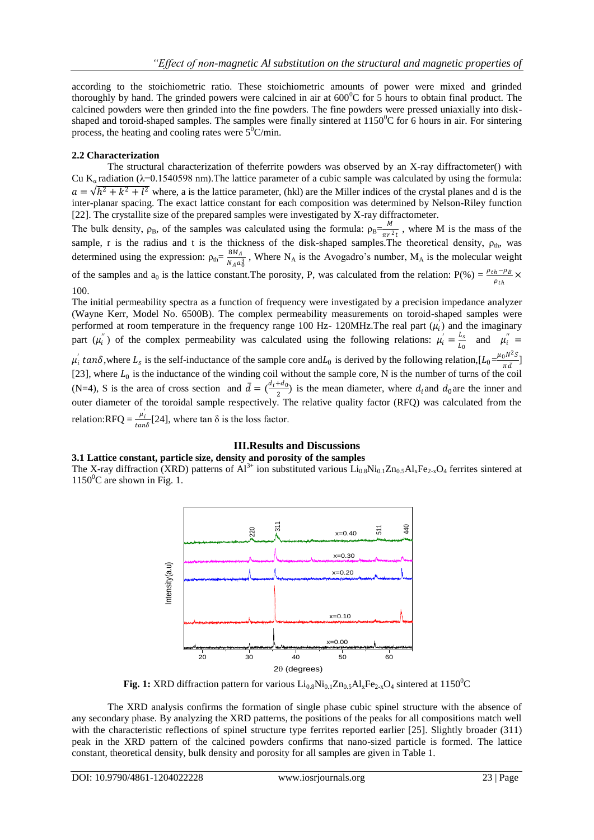according to the stoichiometric ratio. These stoichiometric amounts of power were mixed and grinded thoroughly by hand. The grinded powers were calcined in air at  $600^{\circ}$ C for 5 hours to obtain final product. The calcined powders were then grinded into the fine powders. The fine powders were pressed uniaxially into diskshaped and toroid-shaped samples. The samples were finally sintered at  $1150^{\circ}$ C for 6 hours in air. For sintering process, the heating and cooling rates were  $5^{\circ}$ C/min.

#### **2.2 Characterization**

The structural characterization of theferrite powders was observed by an X-ray diffractometer() with Cu K<sub>a</sub> radiation ( $\lambda$ =0.1540598 nm). The lattice parameter of a cubic sample was calculated by using the formula:  $a = \sqrt{h^2 + k^2 + l^2}$  where, a is the lattice parameter, (hkl) are the Miller indices of the crystal planes and d is the inter-planar spacing. The exact lattice constant for each composition was determined by Nelson-Riley function [22]. The crystallite size of the prepared samples were investigated by X-ray diffractometer.

The bulk density,  $\rho_B$ , of the samples was calculated using the formula:  $\rho_B = \frac{M}{\pi R}$  $\frac{m}{\pi r^2 t}$ , where M is the mass of the sample, r is the radius and t is the thickness of the disk-shaped samples. The theoretical density,  $\rho_{th}$ , was determined using the expression:  $\rho_{\text{th}} = \frac{8M_A}{N_{\text{max}}}$  $\frac{\partial m_A}{\partial A a_0^3}$ , Where N<sub>A</sub> is the Avogadro's number, M<sub>A</sub> is the molecular weight of the samples and a<sub>0</sub> is the lattice constant.The porosity, P, was calculated from the relation: P(%) =  $\frac{\rho_{th}-\rho_B}{\rho_{th}}$  × 100.

The initial permeability spectra as a function of frequency were investigated by a precision impedance analyzer (Wayne Kerr, Model No. 6500B). The complex permeability measurements on toroid-shaped samples were performed at room temperature in the frequency range 100 Hz- 120MHz. The real part  $(\mu_i)$  and the imaginary part  $(\mu_i^{\prime\prime})$  of the complex permeability was calculated using the following relations:  $\mu_i^{\prime} = \frac{L_s}{L_c}$  $\frac{L_s}{L_0}$  and  $\mu_i'' =$ 

 $\mu'_i$  tan $\delta$ , where  $L_s$  is the self-inductance of the sample core and  $L_0$  is derived by the following relation,  $[L_0 = \frac{\mu_0 N^2 S}{\pi d}]$  $\frac{1}{\pi d}$ ] [23], where  $L_0$  is the inductance of the winding coil without the sample core, N is the number of turns of the coil (N=4), S is the area of cross section and  $\bar{d} = \left(\frac{d_i + d_0}{2}\right)$  $\frac{1}{2}$ ) is the mean diameter, where  $d_i$  and  $d_0$  are the inner and outer diameter of the toroidal sample respectively. The relative quality factor (RFQ) was calculated from the relation:RFQ =  $\frac{\mu'_i}{\sigma_i}$  $\frac{\mu_i}{\tan\delta}$ [24], where tan  $\delta$  is the loss factor.

#### **III.Results and Discussions**

#### **3.1 Lattice constant, particle size, density and porosity of the samples**

The X-ray diffraction (XRD) patterns of  $Al^{3+}$  ion substituted various  $Li_{0.8}Ni_{0.1}Zn_{0.5}Al_xFe_{2-x}O_4$  ferrites sintered at  $1150^{\circ}$ C are shown in Fig. 1.



**Fig. 1:** XRD diffraction pattern for various  $Li_{0.8}Ni_{0.1}Zn_{0.5}Al_xFe_{2-x}O_4$  sintered at 1150<sup>°</sup>C

The XRD analysis confirms the formation of single phase cubic spinel structure with the absence of any secondary phase. By analyzing the XRD patterns, the positions of the peaks for all compositions match well with the characteristic reflections of spinel structure type ferrites reported earlier [25]. Slightly broader (311) peak in the XRD pattern of the calcined powders confirms that nano-sized particle is formed. The lattice constant, theoretical density, bulk density and porosity for all samples are given in Table 1.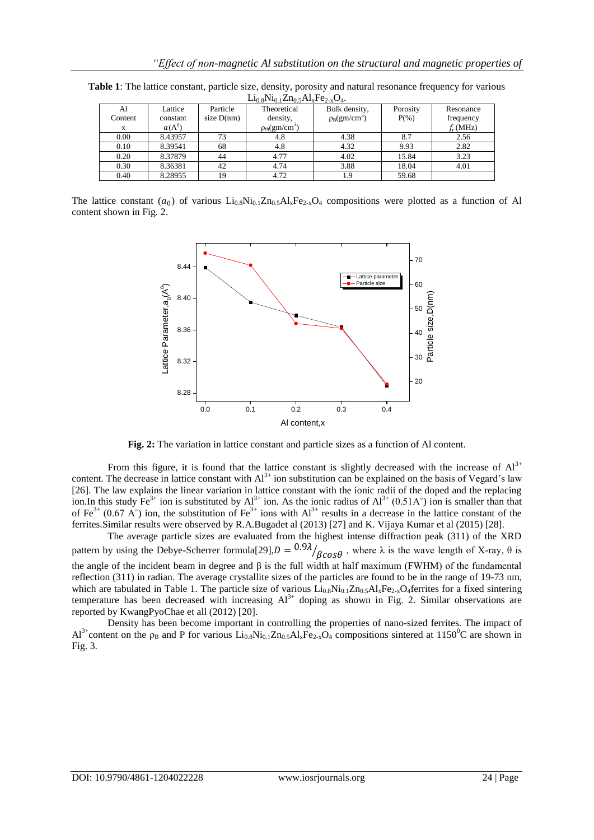| $L_4$ () $\chi$ ( VI() $\left  L_4\right $ () $\left  \sqrt{\frac{1}{2}} \right $ $\sqrt{\frac{1}{2}} \sqrt{\frac{1}{2}}$ |          |              |                                    |                   |          |            |
|---------------------------------------------------------------------------------------------------------------------------|----------|--------------|------------------------------------|-------------------|----------|------------|
| Al                                                                                                                        | Lattice  | Particle     | Theoretical                        | Bulk density,     | Porosity | Resonance  |
| Content                                                                                                                   | constant | size $D(nm)$ | density,                           | $\rho_B(gm/cm^3)$ | $P(\% )$ | frequency  |
|                                                                                                                           | $a(A^0)$ |              | $\rho_{\text{th}}(\text{gm/cm}^3)$ |                   |          | $f_r(MHz)$ |
| 0.00                                                                                                                      | 8.43957  | 73           | 4.8                                | 4.38              | 8.7      | 2.56       |
| 0.10                                                                                                                      | 8.39541  | 68           | 4.8                                | 4.32              | 9.93     | 2.82       |
| 0.20                                                                                                                      | 8.37879  | 44           | 4.77                               | 4.02              | 15.84    | 3.23       |
| 0.30                                                                                                                      | 8.36381  | 42           | 4.74                               | 3.88              | 18.04    | 4.01       |
| 0.40                                                                                                                      | 8.28955  | 19           | 4.72                               | 1.9               | 59.68    |            |

**Table 1**: The lattice constant, particle size, density, porosity and natural resonance frequency for various  $Li<sub>0.9</sub>Ni<sub>0.5</sub>$   $\Delta$ 1 Fe<sub>2</sub>  $\Omega$ 

The lattice constant  $(a_0)$  of various  $Li_{0.8}Ni_{0.1}Zn_{0.5}Al_xFe_{2-x}O_4$  compositions were plotted as a function of Al content shown in Fig. 2.



**Fig. 2:** The variation in lattice constant and particle sizes as a function of Al content.

From this figure, it is found that the lattice constant is slightly decreased with the increase of  $Al^{3+}$ content. The decrease in lattice constant with  $Al^{3+}$  ion substitution can be explained on the basis of Vegard's law [26]. The law explains the linear variation in lattice constant with the ionic radii of the doped and the replacing ion.In this study  $Fe^{3+}$  ion is substituted by  $Al^{3+}$  ion. As the ionic radius of  $Al^{3+}$  (0.51A°) ion is smaller than that of Fe<sup>3+</sup> (0.67 A°) ion, the substitution of Fe<sup>3+</sup> ions with Al<sup>3+</sup> results in a decrease in the lattice constant of the ferrites.Similar results were observed by R.A.Bugadet al (2013) [27] and K. Vijaya Kumar et al (2015) [28].

The average particle sizes are evaluated from the highest intense diffraction peak (311) of the XRD pattern by using the Debye-Scherrer formula[29], $D = \frac{0.9\lambda}{\beta \cos \theta}$ , where  $\lambda$  is the wave length of X-ray,  $\theta$  is the angle of the incident beam in degree and  $β$  is the full width at half maximum (FWHM) of the fundamental reflection (311) in radian. The average crystallite sizes of the particles are found to be in the range of 19-73 nm, which are tabulated in Table 1. The particle size of various  $\text{Li}_{0.8}\text{Ni}_{0.1}\text{Zn}_{0.5}\text{Al}_{x}\text{Fe}_{2-x}\text{O}_{4}$  ferrites for a fixed sintering temperature has been decreased with increasing  $Al^{3+}$  doping as shown in Fig. 2. Similar observations are reported by KwangPyoChae et all (2012) [20].

Density has been become important in controlling the properties of nano-sized ferrites. The impact of  $Al^{3+}$ content on the  $\rho_B$  and P for various Li<sub>0.8</sub>Ni<sub>0.1</sub>Zn<sub>0.5</sub>Al<sub>x</sub>Fe<sub>2-x</sub>O<sub>4</sub> compositions sintered at 1150<sup>o</sup>C are shown in Fig. 3.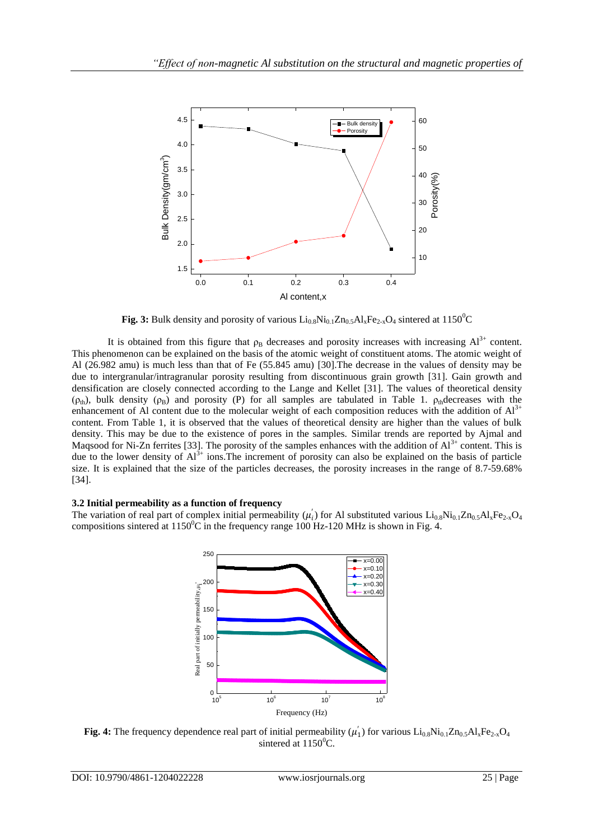

**Fig. 3:** Bulk density and porosity of various  $Li_{0.8}Ni_{0.1}Zn_{0.5}Al_xFe_{2x}O_4$  sintered at 1150<sup>o</sup>C

It is obtained from this figure that  $\rho_B$  decreases and porosity increases with increasing  $Al^{3+}$  content. This phenomenon can be explained on the basis of the atomic weight of constituent atoms. The atomic weight of Al (26.982 amu) is much less than that of Fe (55.845 amu) [30].The decrease in the values of density may be due to intergranular/intragranular porosity resulting from discontinuous grain growth [31]. Gain growth and densification are closely connected according to the Lange and Kellet [31]. The values of theoretical density ( $\rho_{th}$ ), bulk density ( $\rho_B$ ) and porosity (P) for all samples are tabulated in Table 1.  $\rho_{th}$  decreases with the enhancement of Al content due to the molecular weight of each composition reduces with the addition of  $Al<sup>3+</sup>$ content. From Table 1, it is observed that the values of theoretical density are higher than the values of bulk density. This may be due to the existence of pores in the samples. Similar trends are reported by Ajmal and Magsood for Ni-Zn ferrites [33]. The porosity of the samples enhances with the addition of  $Al^{3+}$  content. This is due to the lower density of  $Al^{3+}$  ions. The increment of porosity can also be explained on the basis of particle size. It is explained that the size of the particles decreases, the porosity increases in the range of 8.7-59.68% [34].

#### **3.2 Initial permeability as a function of frequency**

The variation of real part of complex initial permeability  $(\mu'_i)$  for Al substituted various  $Li_{0.8}Ni_{0.1}Zn_{0.5}Al_xFe_{2-x}O_4$ compositions sintered at  $1150^{\circ}$ C in the frequency range 100 Hz-120 MHz is shown in Fig. 4.



**Fig. 4:** The frequency dependence real part of initial permeability  $(\mu'_1)$  for various  $Li_{0.8}Ni_{0.1}Zn_{0.5}Al_xFe_{2-x}O_4$ sintered at  $1150^0$ C.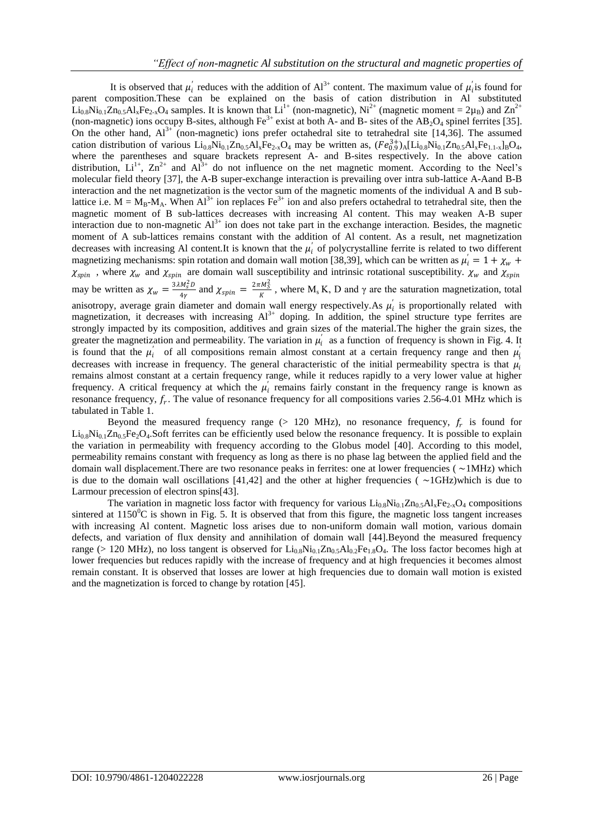It is observed that  $\mu'_i$  reduces with the addition of  $Al^{3+}$  content. The maximum value of  $\mu'_i$  is found for parent composition.These can be explained on the basis of cation distribution in Al substituted  $\text{Li}_{0.8}\text{Ni}_{0.1}\text{Zn}_0$ ,  $\text{Al}_x\text{Fe}_{2-x}\text{O}_4$  samples. It is known that  $\text{Li}^{1+}$  (non-magnetic),  $\text{Ni}^{2+}$  (magnetic moment = 2 $\mu_B$ ) and  $\text{Zn}^{2+}$ (non-magnetic) ions occupy B-sites, although  $Fe^{3+}$  exist at both A- and B- sites of the AB<sub>2</sub>O<sub>4</sub> spinel ferrites [35]. On the other hand,  $Al^{3+}$  (non-magnetic) ions prefer octahedral site to tetrahedral site [14,36]. The assumed cation distribution of various  $Li_{0.8}Ni_{0.1}Zn_{0.5}Al_xFe_{2.x}O_4$  may be written as,  $(Fe_{0.9}^{3+})_A[Li_{0.8}Ni_{0.1}Zn_{0.5}Al_xFe_{1.1-x}]_BO_4$ , where the parentheses and square brackets represent A- and B-sites respectively. In the above cation distribution,  $Li^{1+}$ ,  $Zn^{2+}$  and  $Al^{3+}$  do not influence on the net magnetic moment. According to the Neel's molecular field theory [37], the A-B super-exchange interaction is prevailing over intra sub-lattice A-Aand B-B interaction and the net magnetization is the vector sum of the magnetic moments of the individual A and B sublattice i.e.  $M = M_B - M_A$ . When  $Al^{3+}$  ion replaces Fe<sup>3+</sup> ion and also prefers octahedral to tetrahedral site, then the magnetic moment of B sub-lattices decreases with increasing Al content. This may weaken A-B super interaction due to non-magnetic  $Al^{3+}$  ion does not take part in the exchange interaction. Besides, the magnetic moment of A sub-lattices remains constant with the addition of Al content. As a result, net magnetization decreases with increasing Al content.It is known that the  $\mu'_i$  of polycrystalline ferrite is related to two different magnetizing mechanisms: spin rotation and domain wall motion [38,39], which can be written as  $\mu'_i = 1 + \chi_w$  +  $\chi_{spin}$ , where  $\chi_w$  and  $\chi_{spin}$  are domain wall susceptibility and intrinsic rotational susceptibility.  $\chi_w$  and  $\chi_{spin}$ may be written as  $\chi_w = \frac{3\lambda M_S^2 D}{4v}$  $\frac{M_S^2 D}{4 \gamma}$  and  $\chi_{spin} = \frac{2 \pi M_S^2}{K}$  $\frac{m_S}{K}$ , where M<sub>s</sub> K, D and  $\gamma$  are the saturation magnetization, total anisotropy, average grain diameter and domain wall energy respectively. As  $\mu'_i$  is proportionally related with magnetization, it decreases with increasing  $Al^{3+}$  doping. In addition, the spinel structure type ferrites are strongly impacted by its composition, additives and grain sizes of the material.The higher the grain sizes, the greater the magnetization and permeability. The variation in  $\mu'_i$  as a function of frequency is shown in Fig. 4. It is found that the  $\mu'_i$  of all compositions remain almost constant at a certain frequency range and then  $\mu'_i$ decreases with increase in frequency. The general characteristic of the initial permeability spectra is that  $\mu'_i$ remains almost constant at a certain frequency range, while it reduces rapidly to a very lower value at higher frequency. A critical frequency at which the  $\mu'_i$  remains fairly constant in the frequency range is known as resonance frequency,  $f_r$ . The value of resonance frequency for all compositions varies 2.56-4.01 MHz which is tabulated in Table 1.

Beyond the measured frequency range  $(> 120 \text{ MHz})$ , no resonance frequency,  $f_r$  is found for  $Li<sub>0.8</sub>Ni<sub>0.1</sub>Zn<sub>0.5</sub>Fe<sub>2</sub>O<sub>4</sub>$ . Soft ferrites can be efficiently used below the resonance frequency. It is possible to explain the variation in permeability with frequency according to the Globus model [40]. According to this model, permeability remains constant with frequency as long as there is no phase lag between the applied field and the domain wall displacement. There are two resonance peaks in ferrites: one at lower frequencies ( $\sim$ 1MHz) which is due to the domain wall oscillations  $[41,42]$  and the other at higher frequencies ( $\sim$ 1GHz)which is due to Larmour precession of electron spins[43].

The variation in magnetic loss factor with frequency for various  $Li_{0.8}Ni_{0.1}Zn_{0.5}Al_xFe_{2-x}O_4$  compositions sintered at  $1150^{\circ}\text{C}$  is shown in Fig. 5. It is observed that from this figure, the magnetic loss tangent increases with increasing Al content. Magnetic loss arises due to non-uniform domain wall motion, various domain defects, and variation of flux density and annihilation of domain wall [44].Beyond the measured frequency range (> 120 MHz), no loss tangent is observed for  $Li_{0.8}Ni_{0.1}Zn_{0.5}Al_{0.2}Fe_{1.8}O_4$ . The loss factor becomes high at lower frequencies but reduces rapidly with the increase of frequency and at high frequencies it becomes almost remain constant. It is observed that losses are lower at high frequencies due to domain wall motion is existed and the magnetization is forced to change by rotation [45].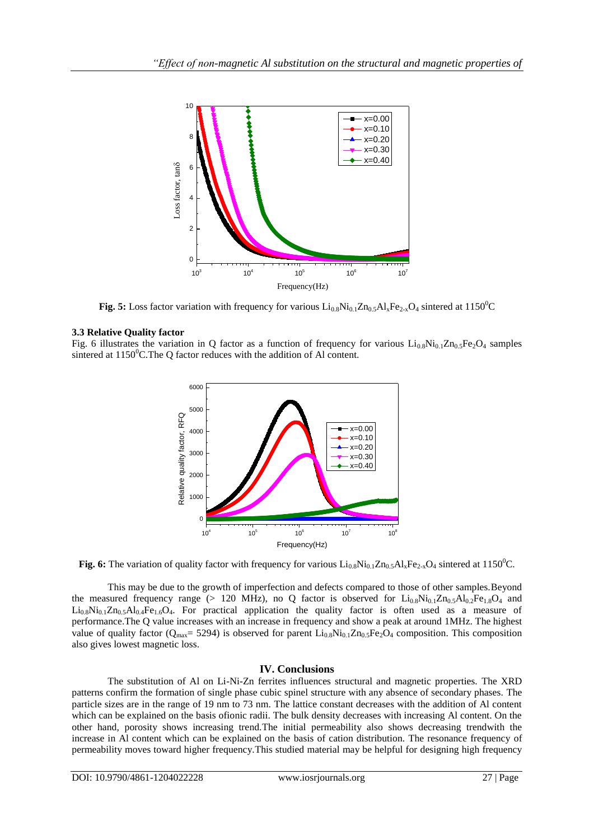

**Fig. 5:** Loss factor variation with frequency for various  $Li_{0.8}Ni_{0.1}Zn_{0.5}Al_xFe_{2-x}O_4$  sintered at 1150<sup>o</sup>C

### **3.3 Relative Quality factor**

Fig. 6 illustrates the variation in Q factor as a function of frequency for various  $Li_{0.8}Ni_{0.1}Zn_{0.5}Fe_2O_4$  samples sintered at  $1150^{\circ}$ C. The Q factor reduces with the addition of Al content.



**Fig. 6:** The variation of quality factor with frequency for various  $Li_{0.8}Ni_{0.1}Zn_{0.5}Al_xFe_{2-x}O_4$  sintered at 1150<sup>0</sup>C.

This may be due to the growth of imperfection and defects compared to those of other samples.Beyond the measured frequency range (> 120 MHz), no Q factor is observed for  $Li_{0.8}Ni_{0.1}Zn_{0.5}Al_{0.2}Fe_{1.8}O_4$  and  $Li_{0.8}Ni_{0.1}Zn_{0.5}Al_{0.4}Fe_{1.6}O_4$ . For practical application the quality factor is often used as a measure of performance.The Q value increases with an increase in frequency and show a peak at around 1MHz. The highest value of quality factor ( $Q_{\text{max}}$ = 5294) is observed for parent  $Li_{0.8}Ni_{0.1}Zn_{0.5}Fe_2O_4$  composition. This composition also gives lowest magnetic loss.

## **IV. Conclusions**

The substitution of Al on Li-Ni-Zn ferrites influences structural and magnetic properties. The XRD patterns confirm the formation of single phase cubic spinel structure with any absence of secondary phases. The particle sizes are in the range of 19 nm to 73 nm. The lattice constant decreases with the addition of Al content which can be explained on the basis ofionic radii. The bulk density decreases with increasing Al content. On the other hand, porosity shows increasing trend.The initial permeability also shows decreasing trendwith the increase in Al content which can be explained on the basis of cation distribution. The resonance frequency of permeability moves toward higher frequency.This studied material may be helpful for designing high frequency